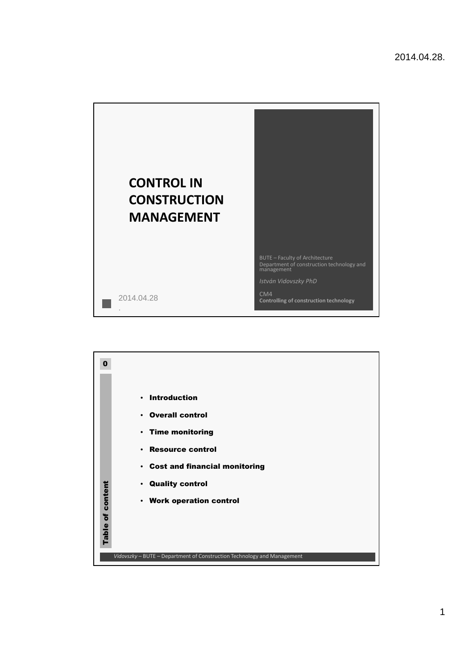

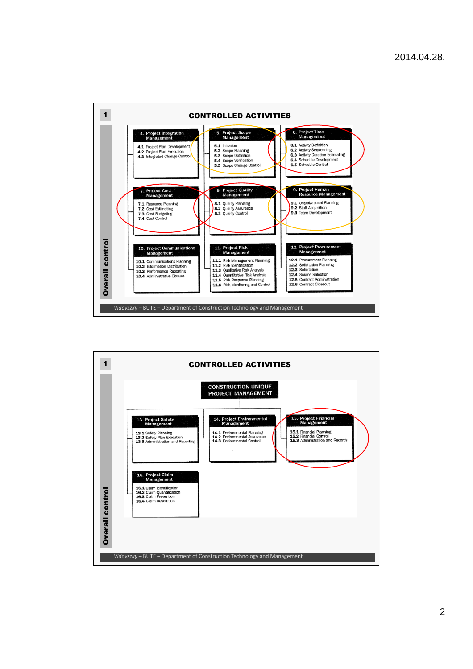

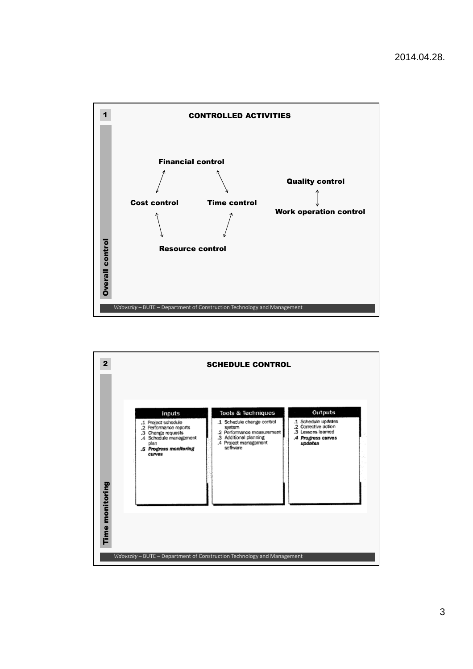

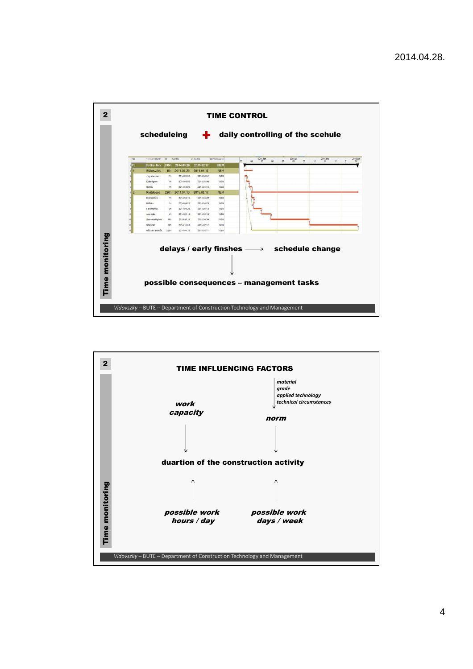

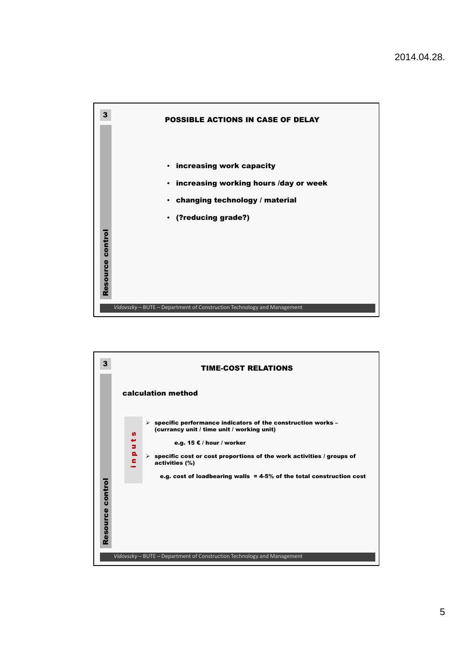



5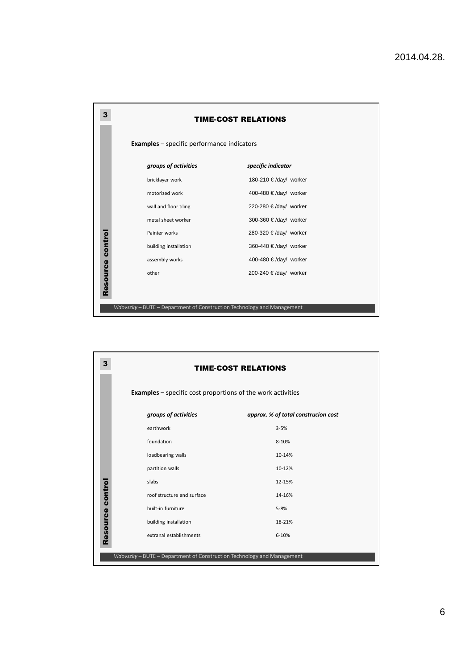| <b>TIME-COST RELATIONS</b> |                                                                         | 3                   |
|----------------------------|-------------------------------------------------------------------------|---------------------|
|                            | <b>Examples</b> – specific performance indicators                       |                     |
| specific indicator         | groups of activities                                                    |                     |
| 180-210 € /day/ worker     | bricklayer work                                                         |                     |
| 400-480 € /day/ worker     | motorized work                                                          |                     |
| 220-280 € /day/ worker     | wall and floor tiling                                                   |                     |
| 300-360 € /day/ worker     | metal sheet worker                                                      |                     |
| 280-320 € /day/ worker     | Painter works                                                           |                     |
| 360-440 € /day/ worker     | building installation                                                   |                     |
| 400-480 € /day/ worker     | assembly works                                                          |                     |
| 200-240 € /day/ worker     | other                                                                   |                     |
|                            |                                                                         |                     |
|                            |                                                                         |                     |
|                            | Vidovszky - BUTE - Department of Construction Technology and Management | control<br>Resource |

| 3                |                                                                         | <b>TIME-COST RELATIONS</b>          |
|------------------|-------------------------------------------------------------------------|-------------------------------------|
|                  | <b>Examples</b> – specific cost proportions of the work activities      |                                     |
|                  | groups of activities                                                    | approx. % of total construcion cost |
|                  | earthwork                                                               | $3 - 5%$                            |
|                  | foundation                                                              | 8-10%                               |
|                  | loadbearing walls                                                       | 10-14%                              |
|                  | partition walls                                                         | 10-12%                              |
|                  | slabs                                                                   | 12-15%                              |
|                  | roof structure and surface                                              | 14-16%                              |
| Resource control | built-in furniture                                                      | $5 - 8%$                            |
|                  | building installation                                                   | 18-21%                              |
|                  | extranal establishments                                                 | $6 - 10%$                           |
|                  | Vidovszky - BUTE - Department of Construction Technology and Management |                                     |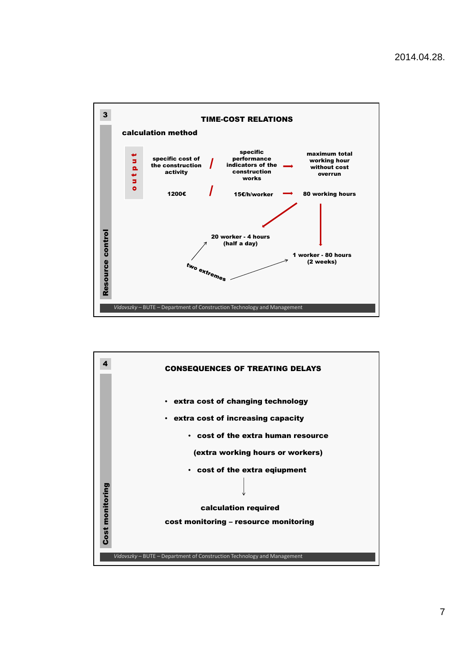

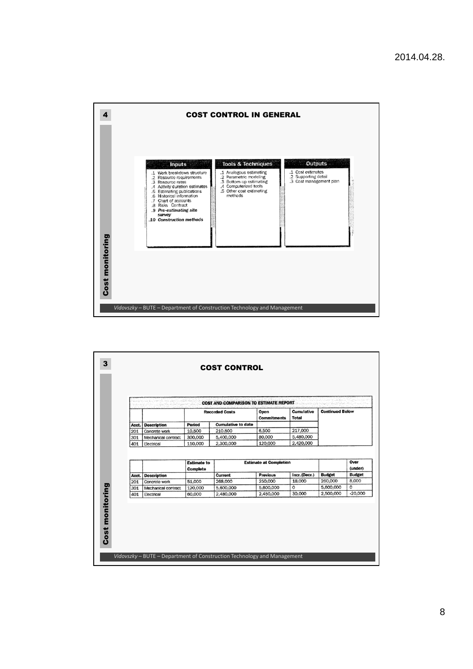

|            |                                      |                    | <b>Recorded Costs</b>     | Open                          | Cumulative             | <b>Continued Below</b> |                        |
|------------|--------------------------------------|--------------------|---------------------------|-------------------------------|------------------------|------------------------|------------------------|
|            |                                      |                    |                           | <b>Commitments</b>            | Total                  |                        |                        |
| Acct.      | <b>Description</b>                   | Period             | <b>Cumulative to date</b> |                               |                        |                        |                        |
| 201        | Concrete work                        | 10,500             | 210,500                   | 6,500                         | 217,000                |                        |                        |
| 301<br>401 | Mechanical contract<br>Electrical    | 300,000<br>110,000 | 5,400,000<br>2,300,000    | 80,000<br>120,000             | 5,480,000<br>2,420,000 |                        |                        |
|            |                                      | <b>Estimate to</b> |                           | <b>Estimate at Completion</b> |                        |                        | Over                   |
|            |                                      | Complete           |                           |                               |                        |                        | (under)                |
| Acct.      | <b>Description</b>                   |                    | Current                   | <b>Previous</b>               | Incr.(Decr.)<br>18.000 | <b>Budget</b>          | <b>Budget</b><br>8,000 |
| 201<br>301 | Concrete work<br>Mechanical contract | 51,000<br>120,000  | 268,000<br>5,600,000      | 250,000<br>5,600,000          | $\Omega$               | 260,000<br>5,600,000   | o                      |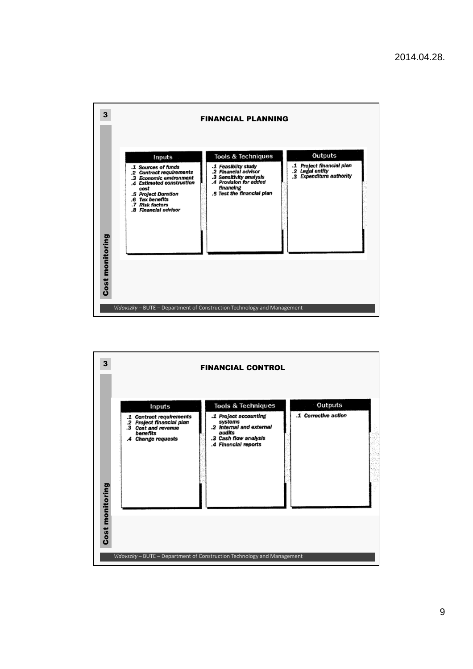

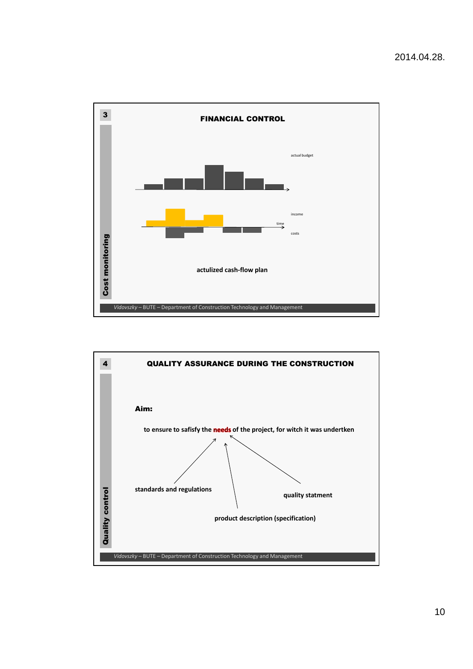

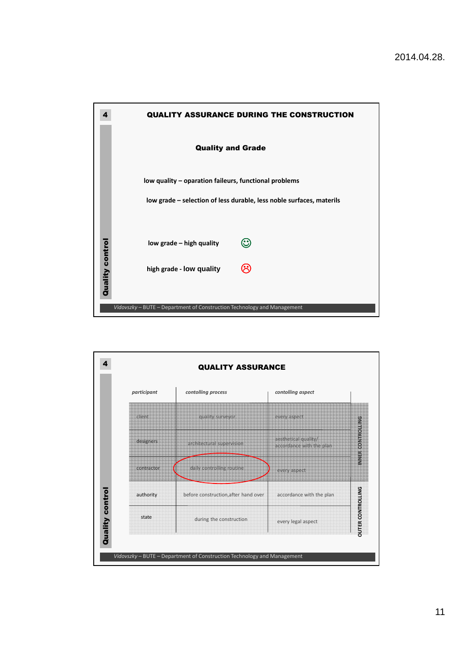

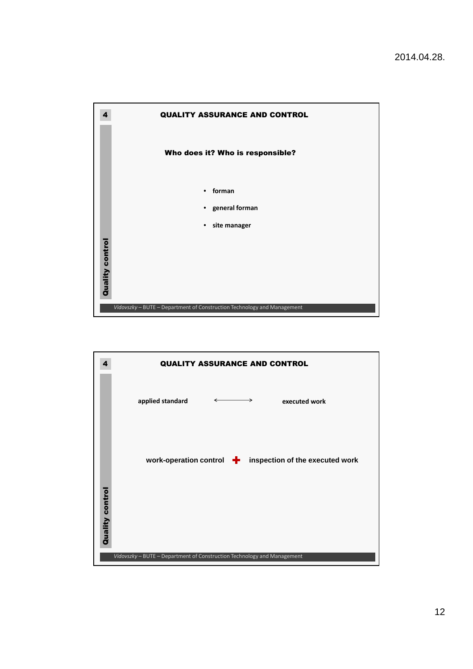

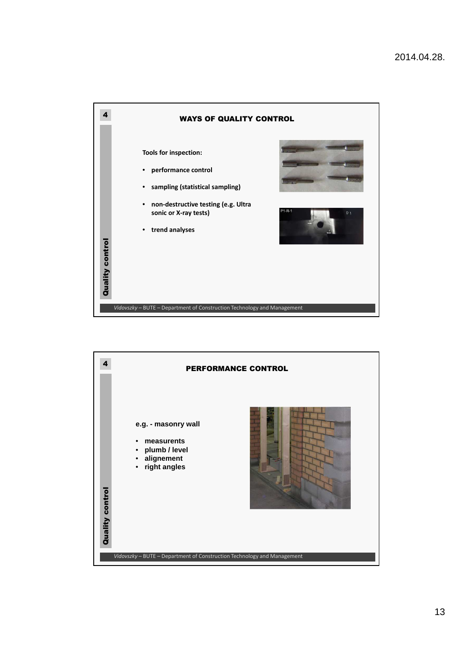

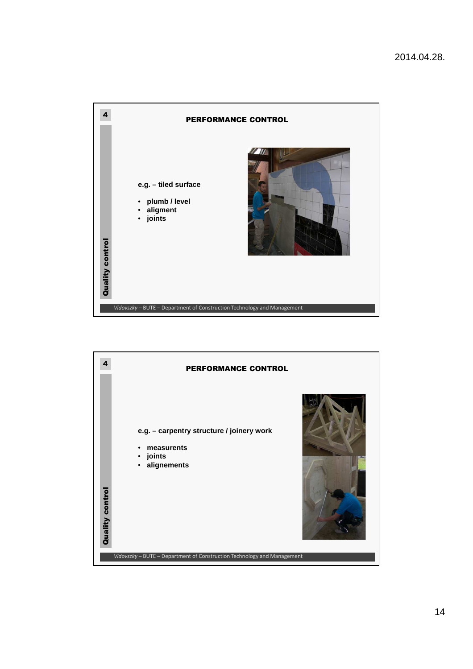